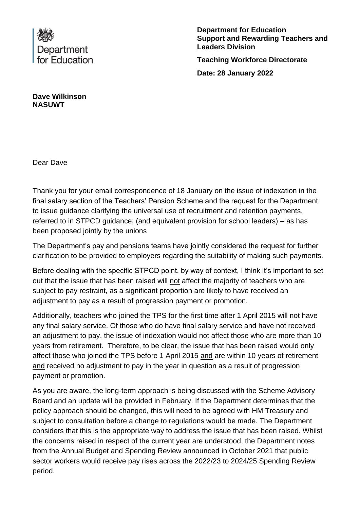

**Department for Education Support and Rewarding Teachers and Leaders Division Teaching Workforce Directorate Date: 28 January 2022**

**Dave Wilkinson NASUWT**

Dear Dave

Thank you for your email correspondence of 18 January on the issue of indexation in the final salary section of the Teachers' Pension Scheme and the request for the Department to issue guidance clarifying the universal use of recruitment and retention payments, referred to in STPCD guidance, (and equivalent provision for school leaders) – as has been proposed jointly by the unions

The Department's pay and pensions teams have jointly considered the request for further clarification to be provided to employers regarding the suitability of making such payments.

Before dealing with the specific STPCD point, by way of context, I think it's important to set out that the issue that has been raised will not affect the majority of teachers who are subject to pay restraint, as a significant proportion are likely to have received an adjustment to pay as a result of progression payment or promotion.

Additionally, teachers who joined the TPS for the first time after 1 April 2015 will not have any final salary service. Of those who do have final salary service and have not received an adjustment to pay, the issue of indexation would not affect those who are more than 10 years from retirement. Therefore, to be clear, the issue that has been raised would only affect those who joined the TPS before 1 April 2015 and are within 10 years of retirement and received no adjustment to pay in the year in question as a result of progression payment or promotion.

As you are aware, the long-term approach is being discussed with the Scheme Advisory Board and an update will be provided in February. If the Department determines that the policy approach should be changed, this will need to be agreed with HM Treasury and subject to consultation before a change to regulations would be made. The Department considers that this is the appropriate way to address the issue that has been raised. Whilst the concerns raised in respect of the current year are understood, the Department notes from the Annual Budget and Spending Review announced in October 2021 that public sector workers would receive pay rises across the 2022/23 to 2024/25 Spending Review period.